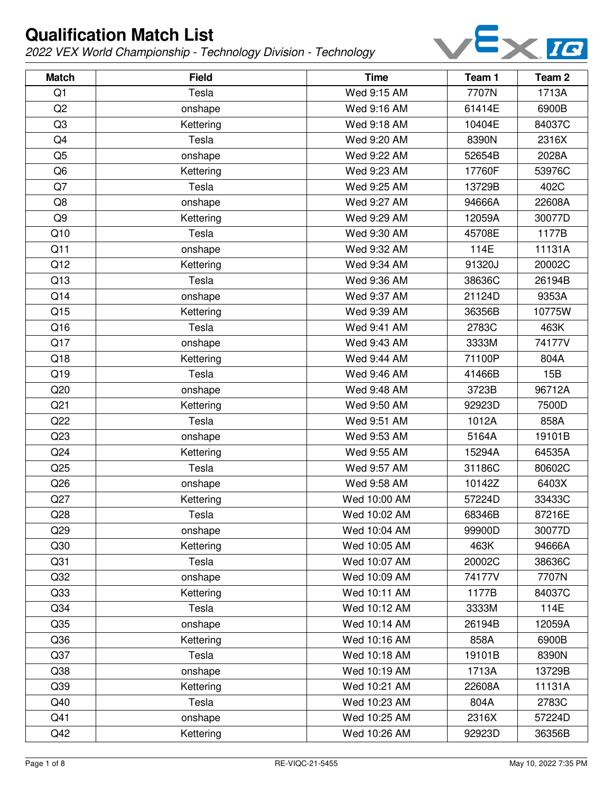

| <b>Match</b>    | <b>Field</b> | <b>Time</b>  | Team 1 | Team <sub>2</sub> |
|-----------------|--------------|--------------|--------|-------------------|
| Q1              | Tesla        | Wed 9:15 AM  | 7707N  | 1713A             |
| Q2              | onshape      | Wed 9:16 AM  | 61414E | 6900B             |
| Q <sub>3</sub>  | Kettering    | Wed 9:18 AM  | 10404E | 84037C            |
| Q4              | Tesla        | Wed 9:20 AM  | 8390N  | 2316X             |
| Q <sub>5</sub>  | onshape      | Wed 9:22 AM  | 52654B | 2028A             |
| Q <sub>6</sub>  | Kettering    | Wed 9:23 AM  | 17760F | 53976C            |
| Q7              | Tesla        | Wed 9:25 AM  | 13729B | 402C              |
| Q8              | onshape      | Wed 9:27 AM  | 94666A | 22608A            |
| Q <sub>9</sub>  | Kettering    | Wed 9:29 AM  | 12059A | 30077D            |
| Q10             | Tesla        | Wed 9:30 AM  | 45708E | 1177B             |
| Q11             | onshape      | Wed 9:32 AM  | 114E   | 11131A            |
| Q12             | Kettering    | Wed 9:34 AM  | 91320J | 20002C            |
| Q13             | Tesla        | Wed 9:36 AM  | 38636C | 26194B            |
| Q14             | onshape      | Wed 9:37 AM  | 21124D | 9353A             |
| Q15             | Kettering    | Wed 9:39 AM  | 36356B | 10775W            |
| Q16             | Tesla        | Wed 9:41 AM  | 2783C  | 463K              |
| Q17             | onshape      | Wed 9:43 AM  | 3333M  | 74177V            |
| Q18             | Kettering    | Wed 9:44 AM  | 71100P | 804A              |
| Q19             | Tesla        | Wed 9:46 AM  | 41466B | 15B               |
| Q20             | onshape      | Wed 9:48 AM  | 3723B  | 96712A            |
| Q <sub>21</sub> | Kettering    | Wed 9:50 AM  | 92923D | 7500D             |
| Q22             | Tesla        | Wed 9:51 AM  | 1012A  | 858A              |
| Q23             | onshape      | Wed 9:53 AM  | 5164A  | 19101B            |
| Q <sub>24</sub> | Kettering    | Wed 9:55 AM  | 15294A | 64535A            |
| Q25             | Tesla        | Wed 9:57 AM  | 31186C | 80602C            |
| Q26             | onshape      | Wed 9:58 AM  | 10142Z | 6403X             |
| Q27             | Kettering    | Wed 10:00 AM | 57224D | 33433C            |
| Q28             | Tesla        | Wed 10:02 AM | 68346B | 87216E            |
| Q <sub>29</sub> | onshape      | Wed 10:04 AM | 99900D | 30077D            |
| Q30             | Kettering    | Wed 10:05 AM | 463K   | 94666A            |
| Q <sub>31</sub> | Tesla        | Wed 10:07 AM | 20002C | 38636C            |
| Q <sub>32</sub> | onshape      | Wed 10:09 AM | 74177V | 7707N             |
| Q33             | Kettering    | Wed 10:11 AM | 1177B  | 84037C            |
| Q34             | Tesla        | Wed 10:12 AM | 3333M  | 114E              |
| Q35             | onshape      | Wed 10:14 AM | 26194B | 12059A            |
| Q36             | Kettering    | Wed 10:16 AM | 858A   | 6900B             |
| Q <sub>37</sub> | Tesla        | Wed 10:18 AM | 19101B | 8390N             |
| Q38             | onshape      | Wed 10:19 AM | 1713A  | 13729B            |
| Q39             | Kettering    | Wed 10:21 AM | 22608A | 11131A            |
| Q40             | Tesla        | Wed 10:23 AM | 804A   | 2783C             |
| Q41             | onshape      | Wed 10:25 AM | 2316X  | 57224D            |
| Q42             | Kettering    | Wed 10:26 AM | 92923D | 36356B            |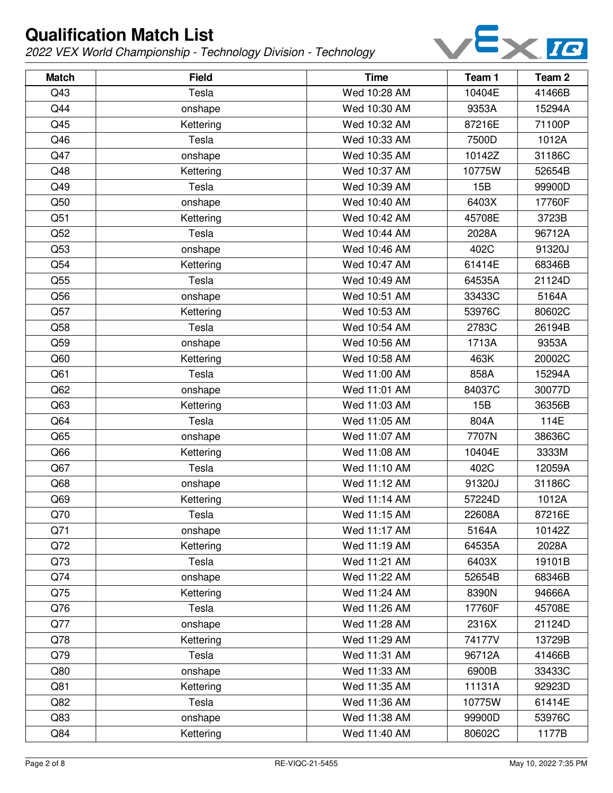

| <b>Match</b>    | <b>Field</b> | <b>Time</b>  | Team 1 | Team <sub>2</sub> |
|-----------------|--------------|--------------|--------|-------------------|
| Q43             | Tesla        | Wed 10:28 AM | 10404E | 41466B            |
| Q44             | onshape      | Wed 10:30 AM | 9353A  | 15294A            |
| Q45             | Kettering    | Wed 10:32 AM | 87216E | 71100P            |
| Q46             | Tesla        | Wed 10:33 AM | 7500D  | 1012A             |
| Q47             | onshape      | Wed 10:35 AM | 10142Z | 31186C            |
| Q48             | Kettering    | Wed 10:37 AM | 10775W | 52654B            |
| Q49             | Tesla        | Wed 10:39 AM | 15B    | 99900D            |
| Q50             | onshape      | Wed 10:40 AM | 6403X  | 17760F            |
| Q51             | Kettering    | Wed 10:42 AM | 45708E | 3723B             |
| Q52             | Tesla        | Wed 10:44 AM | 2028A  | 96712A            |
| Q53             | onshape      | Wed 10:46 AM | 402C   | 91320J            |
| Q54             | Kettering    | Wed 10:47 AM | 61414E | 68346B            |
| Q55             | Tesla        | Wed 10:49 AM | 64535A | 21124D            |
| Q56             | onshape      | Wed 10:51 AM | 33433C | 5164A             |
| Q57             | Kettering    | Wed 10:53 AM | 53976C | 80602C            |
| Q58             | Tesla        | Wed 10:54 AM | 2783C  | 26194B            |
| Q59             | onshape      | Wed 10:56 AM | 1713A  | 9353A             |
| Q60             | Kettering    | Wed 10:58 AM | 463K   | 20002C            |
| Q61             | Tesla        | Wed 11:00 AM | 858A   | 15294A            |
| Q62             | onshape      | Wed 11:01 AM | 84037C | 30077D            |
| Q <sub>63</sub> | Kettering    | Wed 11:03 AM | 15B    | 36356B            |
| Q64             | Tesla        | Wed 11:05 AM | 804A   | 114E              |
| Q65             | onshape      | Wed 11:07 AM | 7707N  | 38636C            |
| Q66             | Kettering    | Wed 11:08 AM | 10404E | 3333M             |
| Q67             | Tesla        | Wed 11:10 AM | 402C   | 12059A            |
| Q68             | onshape      | Wed 11:12 AM | 91320J | 31186C            |
| Q69             | Kettering    | Wed 11:14 AM | 57224D | 1012A             |
| Q70             | Tesla        | Wed 11:15 AM | 22608A | 87216E            |
| Q71             | onshape      | Wed 11:17 AM | 5164A  | 10142Z            |
| Q72             | Kettering    | Wed 11:19 AM | 64535A | 2028A             |
| Q73             | Tesla        | Wed 11:21 AM | 6403X  | 19101B            |
| Q74             | onshape      | Wed 11:22 AM | 52654B | 68346B            |
| Q75             | Kettering    | Wed 11:24 AM | 8390N  | 94666A            |
| Q76             | Tesla        | Wed 11:26 AM | 17760F | 45708E            |
| Q77             | onshape      | Wed 11:28 AM | 2316X  | 21124D            |
| Q78             | Kettering    | Wed 11:29 AM | 74177V | 13729B            |
| Q79             | Tesla        | Wed 11:31 AM | 96712A | 41466B            |
| Q80             | onshape      | Wed 11:33 AM | 6900B  | 33433C            |
| Q81             | Kettering    | Wed 11:35 AM | 11131A | 92923D            |
| Q82             | Tesla        | Wed 11:36 AM | 10775W | 61414E            |
| Q83             | onshape      | Wed 11:38 AM | 99900D | 53976C            |
| Q84             | Kettering    | Wed 11:40 AM | 80602C | 1177B             |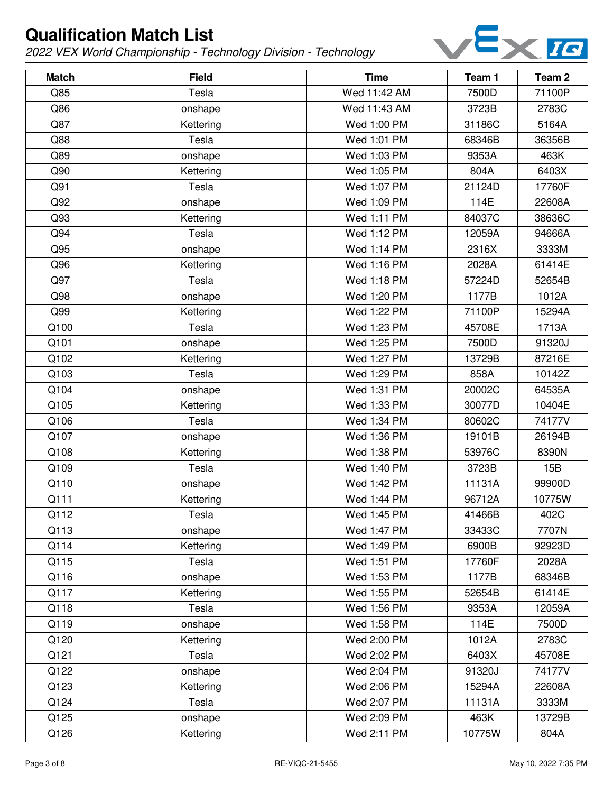

| <b>Match</b> | <b>Field</b> | <b>Time</b>  | Team 1 | Team <sub>2</sub> |
|--------------|--------------|--------------|--------|-------------------|
| Q85          | Tesla        | Wed 11:42 AM | 7500D  | 71100P            |
| Q86          | onshape      | Wed 11:43 AM | 3723B  | 2783C             |
| Q87          | Kettering    | Wed 1:00 PM  | 31186C | 5164A             |
| Q88          | Tesla        | Wed 1:01 PM  | 68346B | 36356B            |
| Q89          | onshape      | Wed 1:03 PM  | 9353A  | 463K              |
| Q90          | Kettering    | Wed 1:05 PM  | 804A   | 6403X             |
| Q91          | Tesla        | Wed 1:07 PM  | 21124D | 17760F            |
| Q92          | onshape      | Wed 1:09 PM  | 114E   | 22608A            |
| Q93          | Kettering    | Wed 1:11 PM  | 84037C | 38636C            |
| Q94          | Tesla        | Wed 1:12 PM  | 12059A | 94666A            |
| Q95          | onshape      | Wed 1:14 PM  | 2316X  | 3333M             |
| Q96          | Kettering    | Wed 1:16 PM  | 2028A  | 61414E            |
| Q97          | Tesla        | Wed 1:18 PM  | 57224D | 52654B            |
| Q98          | onshape      | Wed 1:20 PM  | 1177B  | 1012A             |
| Q99          | Kettering    | Wed 1:22 PM  | 71100P | 15294A            |
| Q100         | Tesla        | Wed 1:23 PM  | 45708E | 1713A             |
| Q101         | onshape      | Wed 1:25 PM  | 7500D  | 91320J            |
| Q102         | Kettering    | Wed 1:27 PM  | 13729B | 87216E            |
| Q103         | Tesla        | Wed 1:29 PM  | 858A   | 10142Z            |
| Q104         | onshape      | Wed 1:31 PM  | 20002C | 64535A            |
| Q105         | Kettering    | Wed 1:33 PM  | 30077D | 10404E            |
| Q106         | Tesla        | Wed 1:34 PM  | 80602C | 74177V            |
| Q107         | onshape      | Wed 1:36 PM  | 19101B | 26194B            |
| Q108         | Kettering    | Wed 1:38 PM  | 53976C | 8390N             |
| Q109         | Tesla        | Wed 1:40 PM  | 3723B  | 15B               |
| Q110         | onshape      | Wed 1:42 PM  | 11131A | 99900D            |
| Q111         | Kettering    | Wed 1:44 PM  | 96712A | 10775W            |
| Q112         | Tesla        | Wed 1:45 PM  | 41466B | 402C              |
| Q113         | onshape      | Wed 1:47 PM  | 33433C | 7707N             |
| Q114         | Kettering    | Wed 1:49 PM  | 6900B  | 92923D            |
| Q115         | Tesla        | Wed 1:51 PM  | 17760F | 2028A             |
| Q116         | onshape      | Wed 1:53 PM  | 1177B  | 68346B            |
| Q117         | Kettering    | Wed 1:55 PM  | 52654B | 61414E            |
| Q118         | Tesla        | Wed 1:56 PM  | 9353A  | 12059A            |
| Q119         | onshape      | Wed 1:58 PM  | 114E   | 7500D             |
| Q120         | Kettering    | Wed 2:00 PM  | 1012A  | 2783C             |
| Q121         | Tesla        | Wed 2:02 PM  | 6403X  | 45708E            |
| Q122         | onshape      | Wed 2:04 PM  | 91320J | 74177V            |
| Q123         | Kettering    | Wed 2:06 PM  | 15294A | 22608A            |
| Q124         | Tesla        | Wed 2:07 PM  | 11131A | 3333M             |
| Q125         | onshape      | Wed 2:09 PM  | 463K   | 13729B            |
| Q126         | Kettering    | Wed 2:11 PM  | 10775W | 804A              |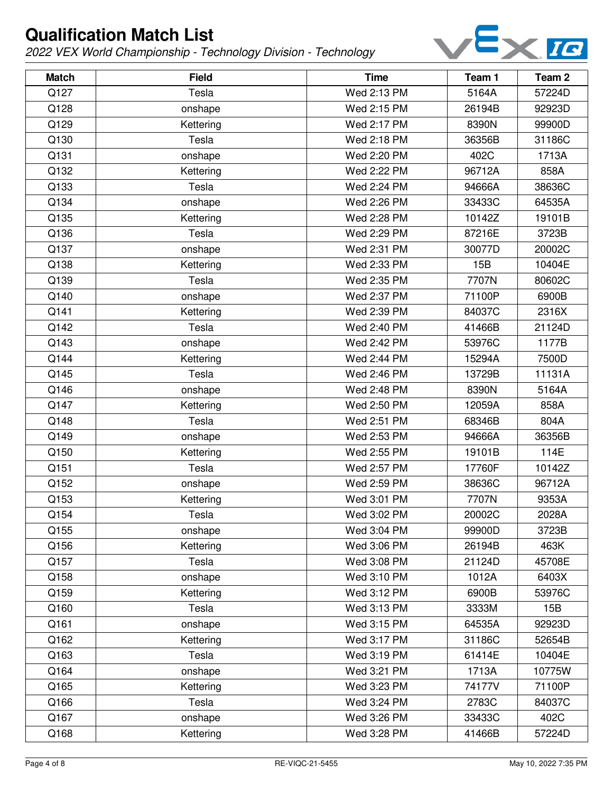

| <b>Match</b> | <b>Field</b> | <b>Time</b> | Team 1 | Team <sub>2</sub> |
|--------------|--------------|-------------|--------|-------------------|
| Q127         | Tesla        | Wed 2:13 PM | 5164A  | 57224D            |
| Q128         | onshape      | Wed 2:15 PM | 26194B | 92923D            |
| Q129         | Kettering    | Wed 2:17 PM | 8390N  | 99900D            |
| Q130         | Tesla        | Wed 2:18 PM | 36356B | 31186C            |
| Q131         | onshape      | Wed 2:20 PM | 402C   | 1713A             |
| Q132         | Kettering    | Wed 2:22 PM | 96712A | 858A              |
| Q133         | Tesla        | Wed 2:24 PM | 94666A | 38636C            |
| Q134         | onshape      | Wed 2:26 PM | 33433C | 64535A            |
| Q135         | Kettering    | Wed 2:28 PM | 10142Z | 19101B            |
| Q136         | Tesla        | Wed 2:29 PM | 87216E | 3723B             |
| Q137         | onshape      | Wed 2:31 PM | 30077D | 20002C            |
| Q138         | Kettering    | Wed 2:33 PM | 15B    | 10404E            |
| Q139         | Tesla        | Wed 2:35 PM | 7707N  | 80602C            |
| Q140         | onshape      | Wed 2:37 PM | 71100P | 6900B             |
| Q141         | Kettering    | Wed 2:39 PM | 84037C | 2316X             |
| Q142         | Tesla        | Wed 2:40 PM | 41466B | 21124D            |
| Q143         | onshape      | Wed 2:42 PM | 53976C | 1177B             |
| Q144         | Kettering    | Wed 2:44 PM | 15294A | 7500D             |
| Q145         | Tesla        | Wed 2:46 PM | 13729B | 11131A            |
| Q146         | onshape      | Wed 2:48 PM | 8390N  | 5164A             |
| Q147         | Kettering    | Wed 2:50 PM | 12059A | 858A              |
| Q148         | Tesla        | Wed 2:51 PM | 68346B | 804A              |
| Q149         | onshape      | Wed 2:53 PM | 94666A | 36356B            |
| Q150         | Kettering    | Wed 2:55 PM | 19101B | 114E              |
| Q151         | Tesla        | Wed 2:57 PM | 17760F | 10142Z            |
| Q152         | onshape      | Wed 2:59 PM | 38636C | 96712A            |
| Q153         | Kettering    | Wed 3:01 PM | 7707N  | 9353A             |
| Q154         | Tesla        | Wed 3:02 PM | 20002C | 2028A             |
| Q155         | onshape      | Wed 3:04 PM | 99900D | 3723B             |
| Q156         | Kettering    | Wed 3:06 PM | 26194B | 463K              |
| Q157         | Tesla        | Wed 3:08 PM | 21124D | 45708E            |
| Q158         | onshape      | Wed 3:10 PM | 1012A  | 6403X             |
| Q159         | Kettering    | Wed 3:12 PM | 6900B  | 53976C            |
| Q160         | Tesla        | Wed 3:13 PM | 3333M  | 15B               |
| Q161         | onshape      | Wed 3:15 PM | 64535A | 92923D            |
| Q162         | Kettering    | Wed 3:17 PM | 31186C | 52654B            |
| Q163         | Tesla        | Wed 3:19 PM | 61414E | 10404E            |
| Q164         | onshape      | Wed 3:21 PM | 1713A  | 10775W            |
| Q165         | Kettering    | Wed 3:23 PM | 74177V | 71100P            |
| Q166         | Tesla        | Wed 3:24 PM | 2783C  | 84037C            |
| Q167         | onshape      | Wed 3:26 PM | 33433C | 402C              |
| Q168         | Kettering    | Wed 3:28 PM | 41466B | 57224D            |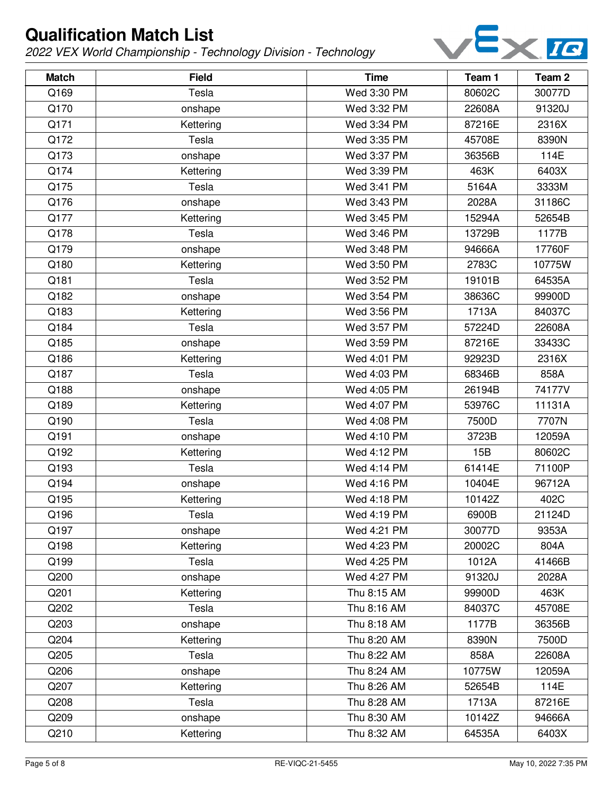

| <b>Match</b> | <b>Field</b> | <b>Time</b> | Team 1 | Team <sub>2</sub> |
|--------------|--------------|-------------|--------|-------------------|
| Q169         | Tesla        | Wed 3:30 PM | 80602C | 30077D            |
| Q170         | onshape      | Wed 3:32 PM | 22608A | 91320J            |
| Q171         | Kettering    | Wed 3:34 PM | 87216E | 2316X             |
| Q172         | Tesla        | Wed 3:35 PM | 45708E | 8390N             |
| Q173         | onshape      | Wed 3:37 PM | 36356B | 114E              |
| Q174         | Kettering    | Wed 3:39 PM | 463K   | 6403X             |
| Q175         | Tesla        | Wed 3:41 PM | 5164A  | 3333M             |
| Q176         | onshape      | Wed 3:43 PM | 2028A  | 31186C            |
| Q177         | Kettering    | Wed 3:45 PM | 15294A | 52654B            |
| Q178         | Tesla        | Wed 3:46 PM | 13729B | 1177B             |
| Q179         | onshape      | Wed 3:48 PM | 94666A | 17760F            |
| Q180         | Kettering    | Wed 3:50 PM | 2783C  | 10775W            |
| Q181         | Tesla        | Wed 3:52 PM | 19101B | 64535A            |
| Q182         | onshape      | Wed 3:54 PM | 38636C | 99900D            |
| Q183         | Kettering    | Wed 3:56 PM | 1713A  | 84037C            |
| Q184         | Tesla        | Wed 3:57 PM | 57224D | 22608A            |
| Q185         | onshape      | Wed 3:59 PM | 87216E | 33433C            |
| Q186         | Kettering    | Wed 4:01 PM | 92923D | 2316X             |
| Q187         | Tesla        | Wed 4:03 PM | 68346B | 858A              |
| Q188         | onshape      | Wed 4:05 PM | 26194B | 74177V            |
| Q189         | Kettering    | Wed 4:07 PM | 53976C | 11131A            |
| Q190         | Tesla        | Wed 4:08 PM | 7500D  | 7707N             |
| Q191         | onshape      | Wed 4:10 PM | 3723B  | 12059A            |
| Q192         | Kettering    | Wed 4:12 PM | 15B    | 80602C            |
| Q193         | Tesla        | Wed 4:14 PM | 61414E | 71100P            |
| Q194         | onshape      | Wed 4:16 PM | 10404E | 96712A            |
| Q195         | Kettering    | Wed 4:18 PM | 10142Z | 402C              |
| Q196         | Tesla        | Wed 4:19 PM | 6900B  | 21124D            |
| Q197         | onshape      | Wed 4:21 PM | 30077D | 9353A             |
| Q198         | Kettering    | Wed 4:23 PM | 20002C | 804A              |
| Q199         | Tesla        | Wed 4:25 PM | 1012A  | 41466B            |
| Q200         | onshape      | Wed 4:27 PM | 91320J | 2028A             |
| Q201         | Kettering    | Thu 8:15 AM | 99900D | 463K              |
| Q202         | Tesla        | Thu 8:16 AM | 84037C | 45708E            |
| Q203         | onshape      | Thu 8:18 AM | 1177B  | 36356B            |
| Q204         | Kettering    | Thu 8:20 AM | 8390N  | 7500D             |
| Q205         | Tesla        | Thu 8:22 AM | 858A   | 22608A            |
| Q206         | onshape      | Thu 8:24 AM | 10775W | 12059A            |
| Q207         | Kettering    | Thu 8:26 AM | 52654B | 114E              |
| Q208         | Tesla        | Thu 8:28 AM | 1713A  | 87216E            |
| Q209         | onshape      | Thu 8:30 AM | 10142Z | 94666A            |
| Q210         | Kettering    | Thu 8:32 AM | 64535A | 6403X             |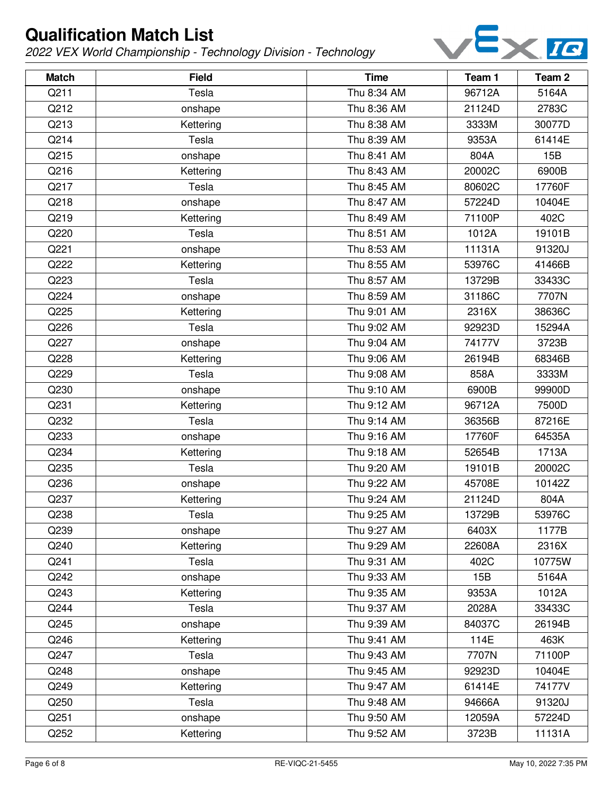

| <b>Match</b> | <b>Field</b> | <b>Time</b> | Team 1 | Team <sub>2</sub> |
|--------------|--------------|-------------|--------|-------------------|
| Q211         | Tesla        | Thu 8:34 AM | 96712A | 5164A             |
| Q212         | onshape      | Thu 8:36 AM | 21124D | 2783C             |
| Q213         | Kettering    | Thu 8:38 AM | 3333M  | 30077D            |
| Q214         | Tesla        | Thu 8:39 AM | 9353A  | 61414E            |
| Q215         | onshape      | Thu 8:41 AM | 804A   | 15B               |
| Q216         | Kettering    | Thu 8:43 AM | 20002C | 6900B             |
| Q217         | Tesla        | Thu 8:45 AM | 80602C | 17760F            |
| Q218         | onshape      | Thu 8:47 AM | 57224D | 10404E            |
| Q219         | Kettering    | Thu 8:49 AM | 71100P | 402C              |
| Q220         | Tesla        | Thu 8:51 AM | 1012A  | 19101B            |
| Q221         | onshape      | Thu 8:53 AM | 11131A | 91320J            |
| Q222         | Kettering    | Thu 8:55 AM | 53976C | 41466B            |
| Q223         | Tesla        | Thu 8:57 AM | 13729B | 33433C            |
| Q224         | onshape      | Thu 8:59 AM | 31186C | 7707N             |
| Q225         | Kettering    | Thu 9:01 AM | 2316X  | 38636C            |
| Q226         | Tesla        | Thu 9:02 AM | 92923D | 15294A            |
| Q227         | onshape      | Thu 9:04 AM | 74177V | 3723B             |
| Q228         | Kettering    | Thu 9:06 AM | 26194B | 68346B            |
| Q229         | Tesla        | Thu 9:08 AM | 858A   | 3333M             |
| Q230         | onshape      | Thu 9:10 AM | 6900B  | 99900D            |
| Q231         | Kettering    | Thu 9:12 AM | 96712A | 7500D             |
| Q232         | Tesla        | Thu 9:14 AM | 36356B | 87216E            |
| Q233         | onshape      | Thu 9:16 AM | 17760F | 64535A            |
| Q234         | Kettering    | Thu 9:18 AM | 52654B | 1713A             |
| Q235         | Tesla        | Thu 9:20 AM | 19101B | 20002C            |
| Q236         | onshape      | Thu 9:22 AM | 45708E | 10142Z            |
| Q237         | Kettering    | Thu 9:24 AM | 21124D | 804A              |
| Q238         | Tesla        | Thu 9:25 AM | 13729B | 53976C            |
| Q239         | onshape      | Thu 9:27 AM | 6403X  | 1177B             |
| Q240         | Kettering    | Thu 9:29 AM | 22608A | 2316X             |
| Q241         | Tesla        | Thu 9:31 AM | 402C   | 10775W            |
| Q242         | onshape      | Thu 9:33 AM | 15B    | 5164A             |
| Q243         | Kettering    | Thu 9:35 AM | 9353A  | 1012A             |
| Q244         | Tesla        | Thu 9:37 AM | 2028A  | 33433C            |
| Q245         | onshape      | Thu 9:39 AM | 84037C | 26194B            |
| Q246         | Kettering    | Thu 9:41 AM | 114E   | 463K              |
| Q247         | Tesla        | Thu 9:43 AM | 7707N  | 71100P            |
| Q248         | onshape      | Thu 9:45 AM | 92923D | 10404E            |
| Q249         | Kettering    | Thu 9:47 AM | 61414E | 74177V            |
| Q250         | Tesla        | Thu 9:48 AM | 94666A | 91320J            |
| Q251         | onshape      | Thu 9:50 AM | 12059A | 57224D            |
| Q252         | Kettering    | Thu 9:52 AM | 3723B  | 11131A            |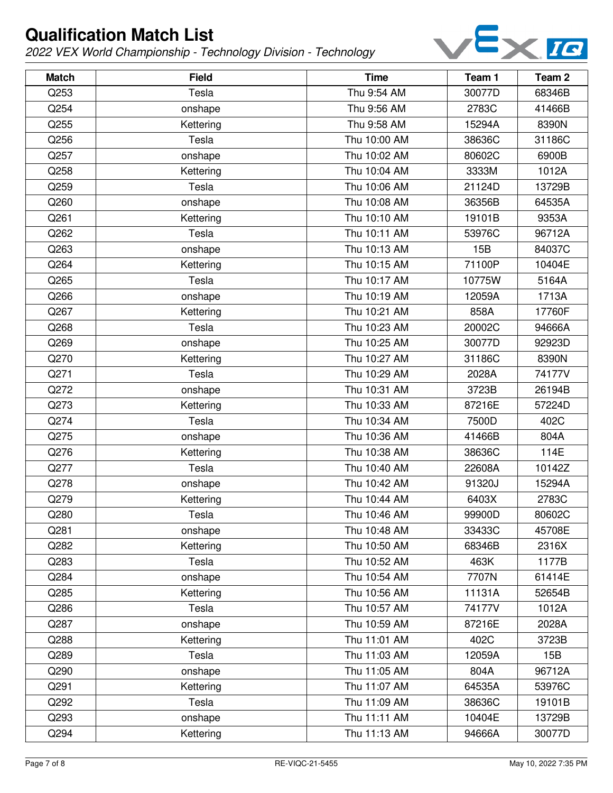

| <b>Match</b> | <b>Field</b> | <b>Time</b>  | Team 1 | Team <sub>2</sub> |
|--------------|--------------|--------------|--------|-------------------|
| Q253         | Tesla        | Thu 9:54 AM  | 30077D | 68346B            |
| Q254         | onshape      | Thu 9:56 AM  | 2783C  | 41466B            |
| Q255         | Kettering    | Thu 9:58 AM  | 15294A | 8390N             |
| Q256         | Tesla        | Thu 10:00 AM | 38636C | 31186C            |
| Q257         | onshape      | Thu 10:02 AM | 80602C | 6900B             |
| Q258         | Kettering    | Thu 10:04 AM | 3333M  | 1012A             |
| Q259         | Tesla        | Thu 10:06 AM | 21124D | 13729B            |
| Q260         | onshape      | Thu 10:08 AM | 36356B | 64535A            |
| Q261         | Kettering    | Thu 10:10 AM | 19101B | 9353A             |
| Q262         | Tesla        | Thu 10:11 AM | 53976C | 96712A            |
| Q263         | onshape      | Thu 10:13 AM | 15B    | 84037C            |
| Q264         | Kettering    | Thu 10:15 AM | 71100P | 10404E            |
| Q265         | Tesla        | Thu 10:17 AM | 10775W | 5164A             |
| Q266         | onshape      | Thu 10:19 AM | 12059A | 1713A             |
| Q267         | Kettering    | Thu 10:21 AM | 858A   | 17760F            |
| Q268         | Tesla        | Thu 10:23 AM | 20002C | 94666A            |
| Q269         | onshape      | Thu 10:25 AM | 30077D | 92923D            |
| Q270         | Kettering    | Thu 10:27 AM | 31186C | 8390N             |
| Q271         | Tesla        | Thu 10:29 AM | 2028A  | 74177V            |
| Q272         | onshape      | Thu 10:31 AM | 3723B  | 26194B            |
| Q273         | Kettering    | Thu 10:33 AM | 87216E | 57224D            |
| Q274         | Tesla        | Thu 10:34 AM | 7500D  | 402C              |
| Q275         | onshape      | Thu 10:36 AM | 41466B | 804A              |
| Q276         | Kettering    | Thu 10:38 AM | 38636C | 114E              |
| Q277         | Tesla        | Thu 10:40 AM | 22608A | 10142Z            |
| Q278         | onshape      | Thu 10:42 AM | 91320J | 15294A            |
| Q279         | Kettering    | Thu 10:44 AM | 6403X  | 2783C             |
| Q280         | Tesla        | Thu 10:46 AM | 99900D | 80602C            |
| Q281         | onshape      | Thu 10:48 AM | 33433C | 45708E            |
| Q282         | Kettering    | Thu 10:50 AM | 68346B | 2316X             |
| Q283         | Tesla        | Thu 10:52 AM | 463K   | 1177B             |
| Q284         | onshape      | Thu 10:54 AM | 7707N  | 61414E            |
| Q285         | Kettering    | Thu 10:56 AM | 11131A | 52654B            |
| Q286         | Tesla        | Thu 10:57 AM | 74177V | 1012A             |
| Q287         | onshape      | Thu 10:59 AM | 87216E | 2028A             |
| Q288         | Kettering    | Thu 11:01 AM | 402C   | 3723B             |
| Q289         | Tesla        | Thu 11:03 AM | 12059A | 15B               |
| Q290         | onshape      | Thu 11:05 AM | 804A   | 96712A            |
| Q291         | Kettering    | Thu 11:07 AM | 64535A | 53976C            |
| Q292         | Tesla        | Thu 11:09 AM | 38636C | 19101B            |
| Q293         | onshape      | Thu 11:11 AM | 10404E | 13729B            |
| Q294         | Kettering    | Thu 11:13 AM | 94666A | 30077D            |